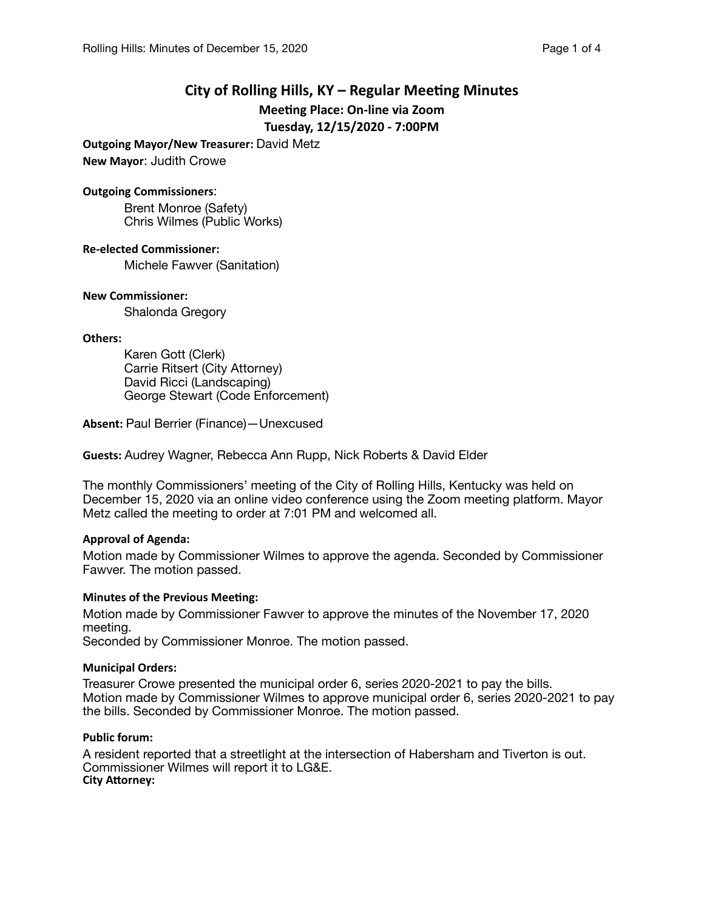# **City of Rolling Hills, KY – Regular Meeting Minutes Meeting Place: On-line via Zoom Tuesday, 12/15/2020 - 7:00PM**

**Outgoing Mayor/New Treasurer:** David Metz

**New Mayor**: Judith Crowe

#### **Outgoing Commissioners**:

Brent Monroe (Safety) Chris Wilmes (Public Works)

**Re-elected Commissioner:** 

Michele Fawver (Sanitation)

## **New Commissioner:**

Shalonda Gregory

## **Others:**

Karen Gott (Clerk) Carrie Ritsert (City Attorney) David Ricci (Landscaping) George Stewart (Code Enforcement)

**Absent:** Paul Berrier (Finance)—Unexcused

**Guests:** Audrey Wagner, Rebecca Ann Rupp, Nick Roberts & David Elder

The monthly Commissioners' meeting of the City of Rolling Hills, Kentucky was held on December 15, 2020 via an online video conference using the Zoom meeting platform. Mayor Metz called the meeting to order at 7:01 PM and welcomed all.

## **Approval of Agenda:**

Motion made by Commissioner Wilmes to approve the agenda. Seconded by Commissioner Fawver. The motion passed.

## **Minutes of the Previous Meeting:**

Motion made by Commissioner Fawver to approve the minutes of the November 17, 2020 meeting.

Seconded by Commissioner Monroe. The motion passed.

#### **Municipal Orders:**

Treasurer Crowe presented the municipal order 6, series 2020-2021 to pay the bills. Motion made by Commissioner Wilmes to approve municipal order 6, series 2020-2021 to pay the bills. Seconded by Commissioner Monroe. The motion passed.

#### **Public forum:**

A resident reported that a streetlight at the intersection of Habersham and Tiverton is out. Commissioner Wilmes will report it to LG&E. **City Attorney:**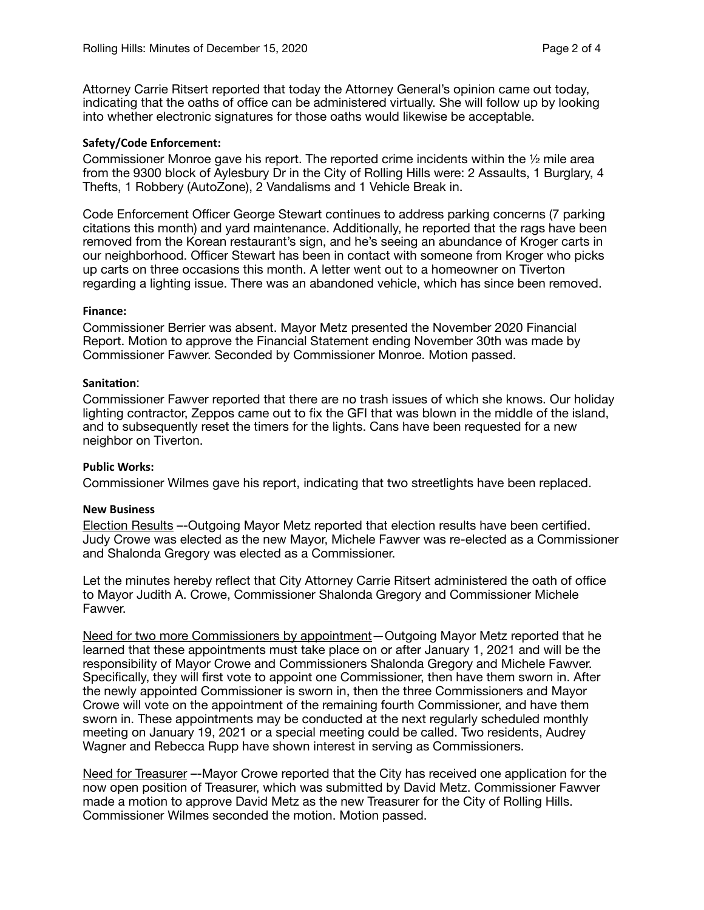Attorney Carrie Ritsert reported that today the Attorney General's opinion came out today, indicating that the oaths of office can be administered virtually. She will follow up by looking into whether electronic signatures for those oaths would likewise be acceptable.

## **Safety/Code Enforcement:**

Commissioner Monroe gave his report. The reported crime incidents within the ½ mile area from the 9300 block of Aylesbury Dr in the City of Rolling Hills were: 2 Assaults, 1 Burglary, 4 Thefts, 1 Robbery (AutoZone), 2 Vandalisms and 1 Vehicle Break in.

Code Enforcement Officer George Stewart continues to address parking concerns (7 parking citations this month) and yard maintenance. Additionally, he reported that the rags have been removed from the Korean restaurant's sign, and he's seeing an abundance of Kroger carts in our neighborhood. Officer Stewart has been in contact with someone from Kroger who picks up carts on three occasions this month. A letter went out to a homeowner on Tiverton regarding a lighting issue. There was an abandoned vehicle, which has since been removed.

#### **Finance:**

Commissioner Berrier was absent. Mayor Metz presented the November 2020 Financial Report. Motion to approve the Financial Statement ending November 30th was made by Commissioner Fawver. Seconded by Commissioner Monroe. Motion passed.

## Sanitation:

Commissioner Fawver reported that there are no trash issues of which she knows. Our holiday lighting contractor, Zeppos came out to fix the GFI that was blown in the middle of the island, and to subsequently reset the timers for the lights. Cans have been requested for a new neighbor on Tiverton.

#### **Public Works:**

Commissioner Wilmes gave his report, indicating that two streetlights have been replaced.

#### **New Business**

Election Results –-Outgoing Mayor Metz reported that election results have been certified. Judy Crowe was elected as the new Mayor, Michele Fawver was re-elected as a Commissioner and Shalonda Gregory was elected as a Commissioner.

Let the minutes hereby reflect that City Attorney Carrie Ritsert administered the oath of office to Mayor Judith A. Crowe, Commissioner Shalonda Gregory and Commissioner Michele Fawver.

Need for two more Commissioners by appointment—Outgoing Mayor Metz reported that he learned that these appointments must take place on or after January 1, 2021 and will be the responsibility of Mayor Crowe and Commissioners Shalonda Gregory and Michele Fawver. Specifically, they will first vote to appoint one Commissioner, then have them sworn in. After the newly appointed Commissioner is sworn in, then the three Commissioners and Mayor Crowe will vote on the appointment of the remaining fourth Commissioner, and have them sworn in. These appointments may be conducted at the next regularly scheduled monthly meeting on January 19, 2021 or a special meeting could be called. Two residents, Audrey Wagner and Rebecca Rupp have shown interest in serving as Commissioners.

Need for Treasurer –-Mayor Crowe reported that the City has received one application for the now open position of Treasurer, which was submitted by David Metz. Commissioner Fawver made a motion to approve David Metz as the new Treasurer for the City of Rolling Hills. Commissioner Wilmes seconded the motion. Motion passed.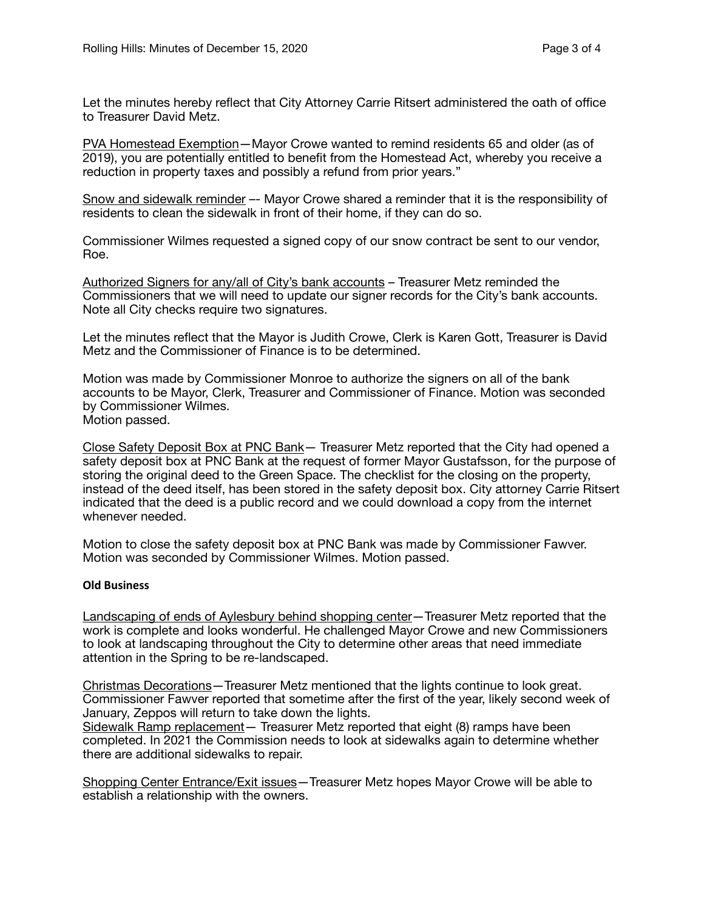Let the minutes hereby reflect that City Attorney Carrie Ritsert administered the oath of office to Treasurer David Metz.

PVA Homestead Exemption—Mayor Crowe wanted to remind residents 65 and older (as of 2019), you are potentially entitled to benefit from the Homestead Act, whereby you receive a reduction in property taxes and possibly a refund from prior years."

Snow and sidewalk reminder –- Mayor Crowe shared a reminder that it is the responsibility of residents to clean the sidewalk in front of their home, if they can do so.

Commissioner Wilmes requested a signed copy of our snow contract be sent to our vendor, Roe.

Authorized Signers for any/all of City's bank accounts – Treasurer Metz reminded the Commissioners that we will need to update our signer records for the City's bank accounts. Note all City checks require two signatures.

Let the minutes reflect that the Mayor is Judith Crowe, Clerk is Karen Gott, Treasurer is David Metz and the Commissioner of Finance is to be determined.

Motion was made by Commissioner Monroe to authorize the signers on all of the bank accounts to be Mayor, Clerk, Treasurer and Commissioner of Finance. Motion was seconded by Commissioner Wilmes.

Motion passed.

Close Safety Deposit Box at PNC Bank— Treasurer Metz reported that the City had opened a safety deposit box at PNC Bank at the request of former Mayor Gustafsson, for the purpose of storing the original deed to the Green Space. The checklist for the closing on the property, instead of the deed itself, has been stored in the safety deposit box. City attorney Carrie Ritsert indicated that the deed is a public record and we could download a copy from the internet whenever needed.

Motion to close the safety deposit box at PNC Bank was made by Commissioner Fawver. Motion was seconded by Commissioner Wilmes. Motion passed.

## **Old Business**

Landscaping of ends of Aylesbury behind shopping center—Treasurer Metz reported that the work is complete and looks wonderful. He challenged Mayor Crowe and new Commissioners to look at landscaping throughout the City to determine other areas that need immediate attention in the Spring to be re-landscaped.

Christmas Decorations—Treasurer Metz mentioned that the lights continue to look great. Commissioner Fawver reported that sometime after the first of the year, likely second week of January, Zeppos will return to take down the lights. Sidewalk Ramp replacement - Treasurer Metz reported that eight (8) ramps have been

completed. In 2021 the Commission needs to look at sidewalks again to determine whether there are additional sidewalks to repair.

Shopping Center Entrance/Exit issues—Treasurer Metz hopes Mayor Crowe will be able to establish a relationship with the owners.